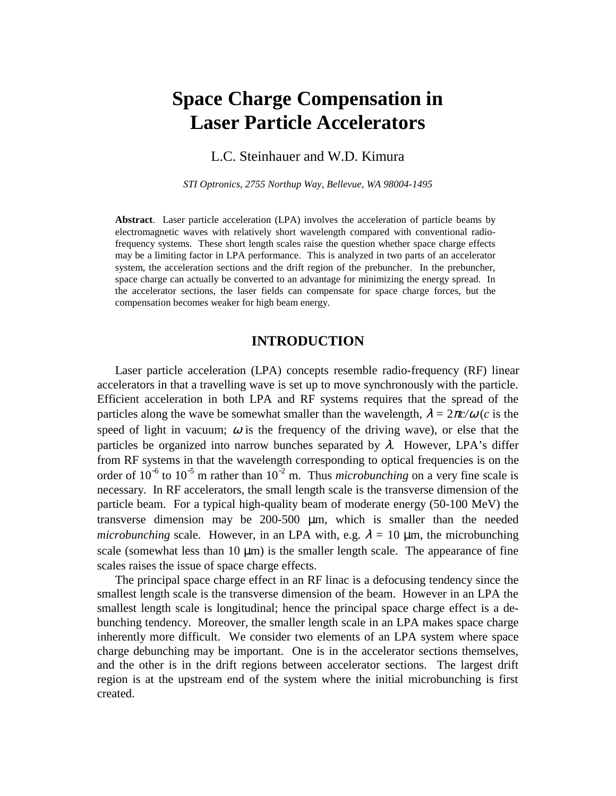# **Space Charge Compensation in Laser Particle Accelerators**

L.C. Steinhauer and W.D. Kimura

*STI Optronics, 2755 Northup Way, Bellevue, WA 98004-1495*

**Abstract**. Laser particle acceleration (LPA) involves the acceleration of particle beams by electromagnetic waves with relatively short wavelength compared with conventional radiofrequency systems. These short length scales raise the question whether space charge effects may be a limiting factor in LPA performance. This is analyzed in two parts of an accelerator system, the acceleration sections and the drift region of the prebuncher. In the prebuncher, space charge can actually be converted to an advantage for minimizing the energy spread. In the accelerator sections, the laser fields can compensate for space charge forces, but the compensation becomes weaker for high beam energy.

## **INTRODUCTION**

Laser particle acceleration (LPA) concepts resemble radio-frequency (RF) linear accelerators in that a travelling wave is set up to move synchronously with the particle. Efficient acceleration in both LPA and RF systems requires that the spread of the particles along the wave be somewhat smaller than the wavelength,  $\lambda = 2\pi c/\omega$  (*c* is the speed of light in vacuum;  $\omega$  is the frequency of the driving wave), or else that the particles be organized into narrow bunches separated by  $\lambda$ . However, LPA's differ from RF systems in that the wavelength corresponding to optical frequencies is on the order of  $10^{-6}$  to  $10^{-5}$  m rather than  $10^{-2}$  m. Thus *microbunching* on a very fine scale is necessary. In RF accelerators, the small length scale is the transverse dimension of the particle beam. For a typical high-quality beam of moderate energy (50-100 MeV) the transverse dimension may be 200-500 µm, which is smaller than the needed *microbunching* scale. However, in an LPA with, e.g.  $\lambda = 10$  µm, the microbunching scale (somewhat less than  $10 \mu m$ ) is the smaller length scale. The appearance of fine scales raises the issue of space charge effects.

The principal space charge effect in an RF linac is a defocusing tendency since the smallest length scale is the transverse dimension of the beam. However in an LPA the smallest length scale is longitudinal; hence the principal space charge effect is a debunching tendency. Moreover, the smaller length scale in an LPA makes space charge inherently more difficult. We consider two elements of an LPA system where space charge debunching may be important. One is in the accelerator sections themselves, and the other is in the drift regions between accelerator sections. The largest drift region is at the upstream end of the system where the initial microbunching is first created.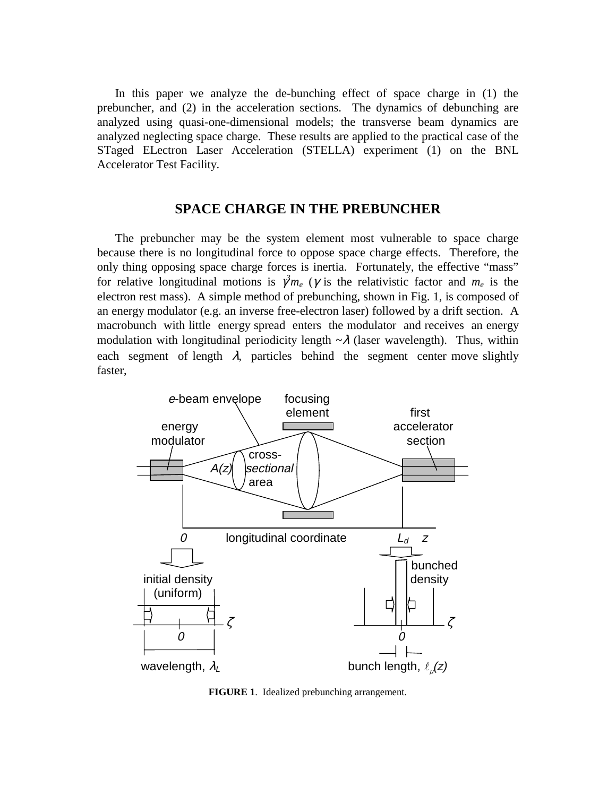In this paper we analyze the de-bunching effect of space charge in (1) the prebuncher, and (2) in the acceleration sections. The dynamics of debunching are analyzed using quasi-one-dimensional models; the transverse beam dynamics are analyzed neglecting space charge. These results are applied to the practical case of the STaged ELectron Laser Acceleration (STELLA) experiment (1) on the BNL Accelerator Test Facility.

## **SPACE CHARGE IN THE PREBUNCHER**

The prebuncher may be the system element most vulnerable to space charge because there is no longitudinal force to oppose space charge effects. Therefore, the only thing opposing space charge forces is inertia. Fortunately, the effective "mass" for relative longitudinal motions is  $\gamma^3 m_e$  ( $\gamma$  is the relativistic factor and  $m_e$  is the electron rest mass). A simple method of prebunching, shown in Fig. 1, is composed of an energy modulator (e.g. an inverse free-electron laser) followed by a drift section. A macrobunch with little energy spread enters the modulator and receives an energy modulation with longitudinal periodicity length  $\sim \lambda$  (laser wavelength). Thus, within each segment of length  $\lambda$ , particles behind the segment center move slightly faster,



**FIGURE 1**. Idealized prebunching arrangement.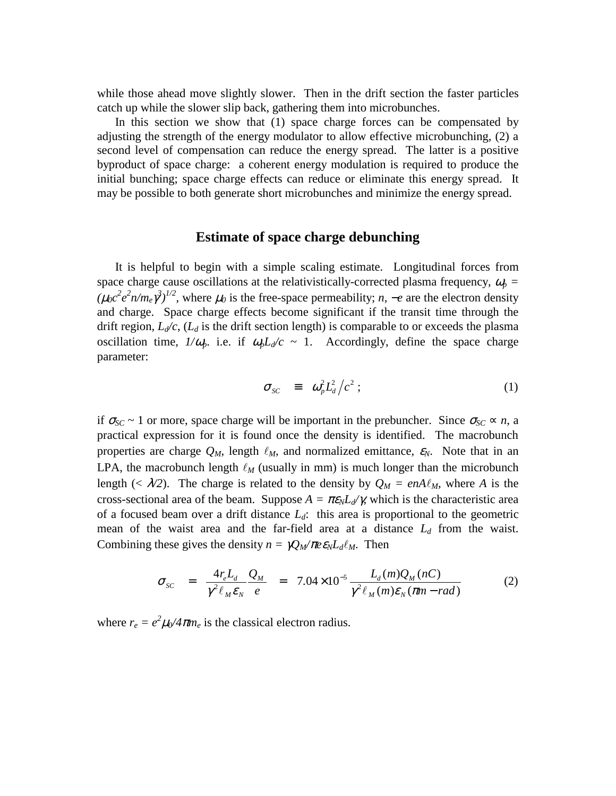while those ahead move slightly slower. Then in the drift section the faster particles catch up while the slower slip back, gathering them into microbunches.

In this section we show that (1) space charge forces can be compensated by adjusting the strength of the energy modulator to allow effective microbunching, (2) a second level of compensation can reduce the energy spread. The latter is a positive byproduct of space charge: a coherent energy modulation is required to produce the initial bunching; space charge effects can reduce or eliminate this energy spread. It may be possible to both generate short microbunches and minimize the energy spread.

### **Estimate of space charge debunching**

It is helpful to begin with a simple scaling estimate. Longitudinal forces from space charge cause oscillations at the relativistically-corrected plasma frequency,  $\omega_p$  =  $(\mu_0 c^2 e^2 n/m_e \gamma^3)^{1/2}$ , where  $\mu_0$  is the free-space permeability; *n*,  $-e$  are the electron density and charge. Space charge effects become significant if the transit time through the drift region,  $L_d/c$ ,  $(L_d$  is the drift section length) is comparable to or exceeds the plasma oscillation time,  $1/\omega_p$ . i.e. if  $\omega_p L_d/c \sim 1$ . Accordingly, define the space charge parameter:

$$
\sigma_{sc} = \omega_p^2 L_d^2 / c^2 ; \qquad (1)
$$

if  $\sigma_{SC} \sim 1$  or more, space charge will be important in the prebuncher. Since  $\sigma_{SC} \propto n$ , a practical expression for it is found once the density is identified. The macrobunch properties are charge  $Q_M$ , length  $\ell_M$ , and normalized emittance,  $\varepsilon_N$ . Note that in an LPA, the macrobunch length  $\ell_M$  (usually in mm) is much longer than the microbunch length (<  $\lambda$ /2). The charge is related to the density by  $Q_M = enA\ell_M$ , where *A* is the cross-sectional area of the beam. Suppose  $A = \pi \epsilon_N L_d / \gamma$ , which is the characteristic area of a focused beam over a drift distance *Ld*: this area is proportional to the geometric mean of the waist area and the far-field area at a distance  $L_d$  from the waist. Combining these gives the density  $n = \gamma Q_M / \pi e \varepsilon_N L_d \ell_M$ . Then

$$
\sigma_{SC} = \frac{4r_eL_d}{\gamma^2 \ell_M \epsilon_N} \frac{Q_M}{e} = 7.04 \times 10^{-5} \frac{L_d(m)Q_M(nC)}{\gamma^2 \ell_M(m)\epsilon_N(m - rad)}
$$
(2)

where  $r_e = e^2 \mu_0 / 4 \pi m_e$  is the classical electron radius.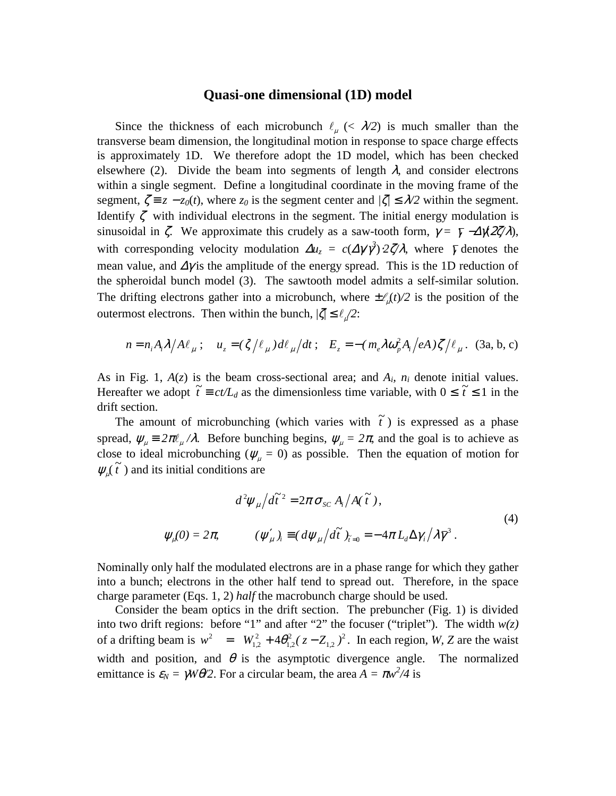#### **Quasi-one dimensional (1D) model**

Since the thickness of each microbunch  $\ell_{\mu}$  (<  $\lambda$ /2) is much smaller than the transverse beam dimension, the longitudinal motion in response to space charge effects is approximately 1D. We therefore adopt the 1D model, which has been checked elsewhere (2). Divide the beam into segments of length  $\lambda$ , and consider electrons within a single segment. Define a longitudinal coordinate in the moving frame of the segment,  $\zeta = z - z_0(t)$ , where  $z_0$  is the segment center and  $\zeta \leq \lambda/2$  within the segment. Identify  $\zeta$  with individual electrons in the segment. The initial energy modulation is sinusoidal in  $\zeta$ . We approximate this crudely as a saw-tooth form,  $\gamma = \overline{\gamma} - \Delta \chi \frac{2\zeta}{\lambda}$ , with corresponding velocity modulation  $\Delta u_z = c(\Delta \gamma \gamma^3) \cdot 2\zeta^2 \lambda$ , where  $\bar{\gamma}$  denotes the mean value, and  $\Delta \gamma$  is the amplitude of the energy spread. This is the 1D reduction of the spheroidal bunch model (3). The sawtooth model admits a self-similar solution. The drifting electrons gather into a microbunch, where  $\pm \ell_{\mu}(t)/2$  is the position of the outermost electrons. Then within the bunch,  $|\zeta| \leq \ell_{\mu}/2$ :

$$
n = n_i A_i \lambda / A \ell_\mu \; ; \quad u_z = (\zeta / \ell_\mu) d \ell_\mu / dt \; ; \quad E_z = -(m_e \lambda \omega_p^2 A_i / eA) \zeta / \ell_\mu \; . \quad (3a, b, c)
$$

As in Fig. 1,  $A(z)$  is the beam cross-sectional area; and  $A_i$ ,  $n_i$  denote initial values. Hereafter we adopt  $\tilde{t} \equiv ct/L_d$  as the dimensionless time variable, with  $0 \leq \tilde{t} \leq 1$  in the drift section.

The amount of microbunching (which varies with  $\tilde{t}$ ) is expressed as a phase spread,  $\psi_{\mu} = 2\pi \ell_{\mu}/\lambda$ . Before bunching begins,  $\psi_{\mu} = 2\pi$ , and the goal is to achieve as close to ideal microbunching ( $\psi_{\mu} = 0$ ) as possible. Then the equation of motion for  $\psi_{\mu}(\tilde{t})$  and its initial conditions are

$$
d^2 \psi_{\mu} / d\tilde{t}^2 = 2\pi \sigma_{sc} A_i / A(\tilde{t}),
$$
  

$$
\psi_{\mu}(0) = 2\pi, \qquad (\psi_{\mu}')_i \equiv (d\psi_{\mu} / d\tilde{t})_{\tilde{t}=0} = -4\pi L_d \Delta \gamma_i / \lambda \bar{\gamma}^3.
$$
 (4)

Nominally only half the modulated electrons are in a phase range for which they gather into a bunch; electrons in the other half tend to spread out. Therefore, in the space charge parameter (Eqs. 1, 2) *half* the macrobunch charge should be used.

Consider the beam optics in the drift section. The prebuncher (Fig. 1) is divided into two drift regions: before "1" and after "2" the focuser ("triplet"). The width  $w(z)$ of a drifting beam is  $w^2 = W_{1,2}^2 + 4\theta_{1,2}^2 (z - Z_{1,2})^2$ 2  $1,2$ 2  $1,2$  $w^2 = W_{1,2}^2 + 4\theta_{1,2}^2 (z - Z_{1,2})^2$ . In each region, *W*, *Z* are the waist width and position, and  $\theta$  is the asymptotic divergence angle. The normalized emittance is  $\varepsilon_N = \gamma W \theta/2$ . For a circular beam, the area  $A = \pi w^2/4$  is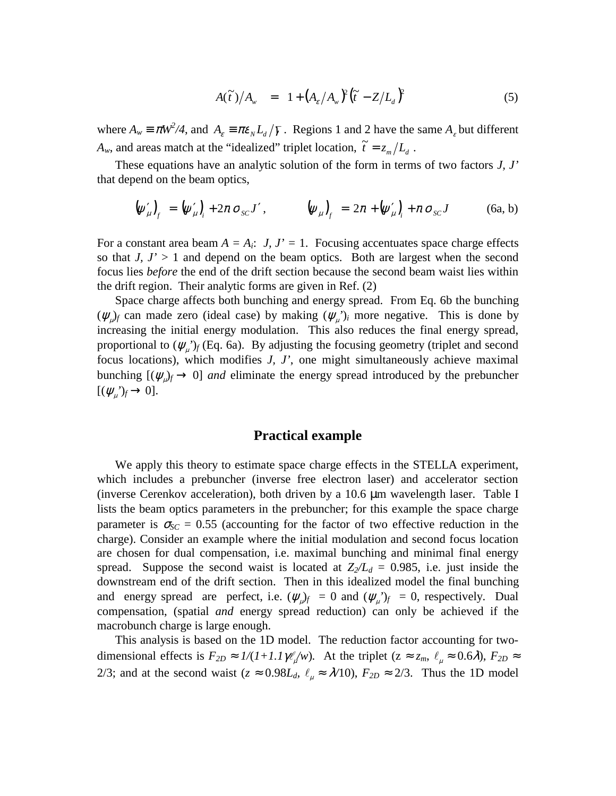$$
A(\tilde{t})/A_{w} = 1 + (A_{\varepsilon}/A_{w})^{2} (\tilde{t} - Z/L_{d})^{2}
$$
\n(5)

where  $A_w \equiv \pi W^2/4$ , and  $A_\varepsilon \equiv \pi \varepsilon_N L_d/\overline{\gamma}$ . Regions 1 and 2 have the same  $A_\varepsilon$  but different  $A_w$ , and areas match at the "idealized" triplet location,  $\tilde{t} = z_m/L_d$ .

These equations have an analytic solution of the form in terms of two factors *J, J'* that depend on the beam optics,

$$
\left(\psi'_{\mu}\right)_{f} = \left(\psi'_{\mu}\right)_{i} + 2\pi \sigma_{sc} J', \qquad \left(\psi_{\mu}\right)_{f} = 2\pi + \left(\psi'_{\mu}\right)_{i} + \pi \sigma_{sc} J \qquad (6a, b)
$$

For a constant area beam  $A = A_i$ : *J, J'* = 1. Focusing accentuates space charge effects so that  $J, J' > 1$  and depend on the beam optics. Both are largest when the second focus lies *before* the end of the drift section because the second beam waist lies within the drift region. Their analytic forms are given in Ref. (2)

Space charge affects both bunching and energy spread. From Eq. 6b the bunching  $(\psi_{\mu})_f$  can made zero (ideal case) by making  $(\psi_{\mu})_i$  more negative. This is done by increasing the initial energy modulation. This also reduces the final energy spread, proportional to  $(\psi_{\mu})_f$  (Eq. 6a). By adjusting the focusing geometry (triplet and second focus locations), which modifies *J, J'*, one might simultaneously achieve maximal bunching  $[(\psi_{\mu})_f \rightarrow 0]$  *and* eliminate the energy spread introduced by the prebuncher  $[(\psi_\mu')_f \rightarrow 0].$ 

# **Practical example**

We apply this theory to estimate space charge effects in the STELLA experiment, which includes a prebuncher (inverse free electron laser) and accelerator section (inverse Cerenkov acceleration), both driven by a 10.6 µm wavelength laser. Table I lists the beam optics parameters in the prebuncher; for this example the space charge parameter is  $\sigma_{SC} = 0.55$  (accounting for the factor of two effective reduction in the charge). Consider an example where the initial modulation and second focus location are chosen for dual compensation, i.e. maximal bunching and minimal final energy spread. Suppose the second waist is located at  $Z_2/L_d = 0.985$ , i.e. just inside the downstream end of the drift section. Then in this idealized model the final bunching and energy spread are perfect, i.e.  $(\psi_{\mu})_f = 0$  and  $(\psi_{\mu})_f = 0$ , respectively. Dual compensation, (spatial *and* energy spread reduction) can only be achieved if the macrobunch charge is large enough.

This analysis is based on the 1D model. The reduction factor accounting for twodimensional effects is  $F_{2D} \approx 1/(1+1.1)\psi_x^2/w)$ . At the triplet  $(z \approx z_m, \ell_{\mu} \approx 0.6\lambda)$ ,  $F_{2D} \approx$ 2/3; and at the second waist ( $z \approx 0.98L_d$ ,  $\ell_{\mu} \approx \lambda/10$ ),  $F_{2D} \approx 2/3$ . Thus the 1D model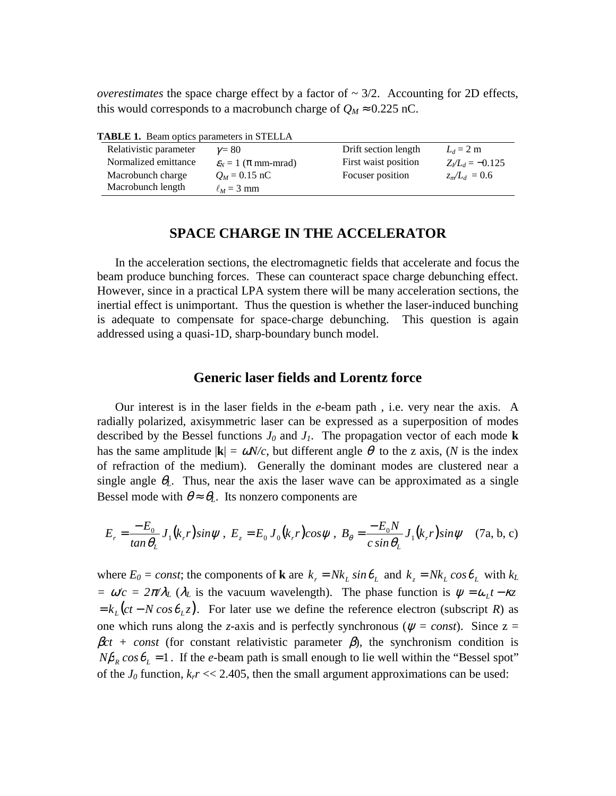*overestimates* the space charge effect by a factor of  $\sim 3/2$ . Accounting for 2D effects, this would corresponds to a macrobunch charge of  $Q_M \approx 0.225$  nC.

| Relativistic parameter | $v = 80$                               | Drift section length | $L_d = 2$ m            |
|------------------------|----------------------------------------|----------------------|------------------------|
| Normalized emittance   | $\varepsilon_{N} = 1$ ( $\pi$ mm-mrad) | First waist position | $Z_{l}/L_{d} = -0.125$ |
| Macrobunch charge      | $Q_M = 0.15$ nC                        | Focuser position     | $z_m/L_d = 0.6$        |
| Macrobunch length      | $\ell_M$ = 3 mm                        |                      |                        |

**TABLE 1.** Beam optics parameters in STELLA

# **SPACE CHARGE IN THE ACCELERATOR**

In the acceleration sections, the electromagnetic fields that accelerate and focus the beam produce bunching forces. These can counteract space charge debunching effect. However, since in a practical LPA system there will be many acceleration sections, the inertial effect is unimportant. Thus the question is whether the laser-induced bunching is adequate to compensate for space-charge debunching. This question is again addressed using a quasi-1D, sharp-boundary bunch model.

# **Generic laser fields and Lorentz force**

Our interest is in the laser fields in the *e*-beam path , i.e. very near the axis. A radially polarized, axisymmetric laser can be expressed as a superposition of modes described by the Bessel functions  $J_0$  and  $J_1$ . The propagation vector of each mode **k** has the same amplitude  $|\mathbf{k}| = \omega N/c$ , but different angle  $\theta$  to the z axis, (N is the index of refraction of the medium). Generally the dominant modes are clustered near a single angle  $\theta_L$ . Thus, near the axis the laser wave can be approximated as a single Bessel mode with  $\theta \approx \theta_L$ . Its nonzero components are

$$
E_r = \frac{-E_0}{\tan \theta_L} J_1(k_r r) \sin \psi \ , \ E_z = E_0 J_0(k_r r) \cos \psi \ , \ B_\theta = \frac{-E_0 N}{c \sin \theta_L} J_1(k_r r) \sin \psi \quad (7\text{a}, \text{b}, \text{c})
$$

where  $E_0 = const$ ; the components of **k** are  $k_r = Nk_l \sin \theta_l$  and  $k_z = Nk_l \cos \theta_l$  with  $k_l$ *=*  $\omega/c = 2\pi/\lambda_L$  ( $\lambda_L$  is the vacuum wavelength). The phase function is  $\psi = \omega_L t - \kappa_z$  $k_L ( ct - N \cos \theta_L z)$ . For later use we define the reference electron (subscript *R*) as one which runs along the *z*-axis and is perfectly synchronous ( $\psi = const$ ). Since  $z =$  $\beta$ *ct* + *const* (for constant relativistic parameter  $\beta$ ), the synchronism condition is  $N\beta_R \cos\theta_L = 1$ . If the *e*-beam path is small enough to lie well within the "Bessel spot" of the  $J_0$  function,  $k_r$  << 2.405, then the small argument approximations can be used: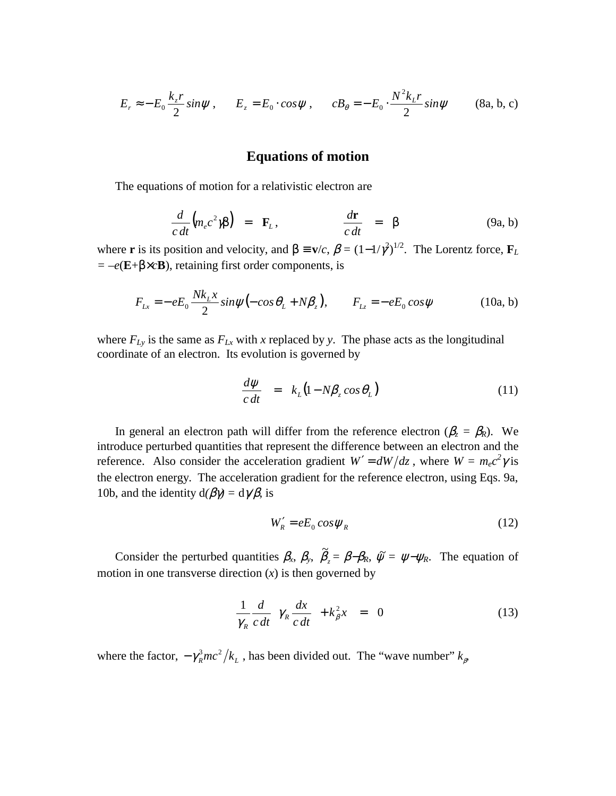$$
E_r \approx -E_0 \frac{k_z r}{2} \sin \psi \,, \qquad E_z = E_0 \cdot \cos \psi \,, \qquad c B_\theta = -E_0 \cdot \frac{N^2 k_z r}{2} \sin \psi \tag{8a, b, c}
$$

# **Equations of motion**

The equations of motion for a relativistic electron are

$$
\frac{d}{c\,dt}\Big(m_e c^2 \gamma \beta\Big) = \mathbf{F}_L, \qquad \qquad \frac{d\mathbf{r}}{c\,dt} = \beta \tag{9a, b}
$$

where **r** is its position and velocity, and  $\beta \equiv v/c$ ,  $\beta = (1 - 1/\gamma^2)^{1/2}$ . The Lorentz force,  $\mathbf{F}_L$ *= –e*(**E**+β×*c***B**), retaining first order components, is

$$
F_{Lx} = -eE_0 \frac{Nk_L x}{2} \sin \psi (-\cos \theta_L + N\beta_z), \qquad F_{Lz} = -eE_0 \cos \psi
$$
 (10a, b)

where  $F_{Ly}$  is the same as  $F_{Lx}$  with *x* replaced by *y*. The phase acts as the longitudinal coordinate of an electron. Its evolution is governed by

$$
\frac{d\psi}{c\,dt} = k_L \big( 1 - N \beta_z \cos \theta_L \big) \tag{11}
$$

In general an electron path will differ from the reference electron ( $\beta_z = \beta_R$ ). We introduce perturbed quantities that represent the difference between an electron and the reference. Also consider the acceleration gradient  $W' = dW/dz$ , where  $W = m_ec^2 \gamma$  is the electron energy. The acceleration gradient for the reference electron, using Eqs. 9a, 10b, and the identity  $d(\beta \gamma) = d\gamma/\beta$ , is

$$
W_R' = eE_0 \cos \psi_R \tag{12}
$$

Consider the perturbed quantities  $\beta_x$ ,  $\beta_y$ ,  $\tilde{\beta}_z = \beta - \beta_R$ ,  $\tilde{\psi} = \psi - \psi_R$ . The equation of motion in one transverse direction  $(x)$  is then governed by

$$
\frac{1}{\gamma_R} \frac{d}{c \, dt} \left( \gamma_R \frac{dx}{c \, dt} \right) + k_\beta^2 x = 0 \tag{13}
$$

where the factor,  $-\gamma_R^3 mc^2/k_L$ , has been divided out. The "wave number"  $k_{\beta}$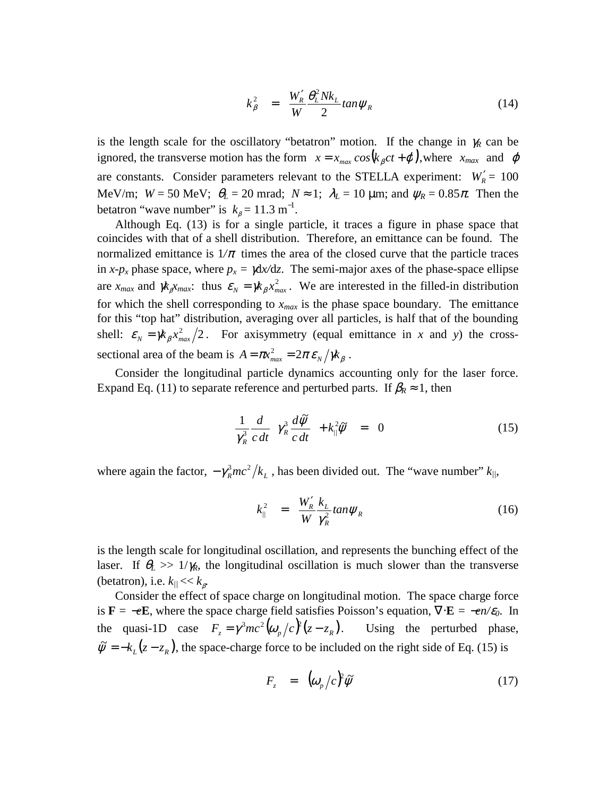$$
k_{\beta}^{2} = \frac{W_{R}^{\prime}}{W} \frac{\theta_{L}^{2} N k_{L}}{2} \tan \psi_{R}
$$
 (14)

is the length scale for the oscillatory "betatron" motion. If the change in  $\gamma_R$  can be ignored, the transverse motion has the form  $x = x_{max} cos(k_{\beta}ct + \varphi)$ , where  $x_{max}$  and  $\varphi$ are constants. Consider parameters relevant to the STELLA experiment:  $W'_R = 100$ MeV/m;  $W = 50$  MeV;  $\theta_L = 20$  mrad;  $N \approx 1$ ;  $\lambda_L = 10$  µm; and  $\psi_R = 0.85\pi$ . Then the betatron "wave number" is  $k_{\beta} = 11.3 \text{ m}^{-1}$ .

Although Eq. (13) is for a single particle, it traces a figure in phase space that coincides with that of a shell distribution. Therefore, an emittance can be found. The normalized emittance is  $1/\pi$  times the area of the closed curve that the particle traces in *x-p<sub>x</sub>* phase space, where  $p_x = \gamma dx/dz$ . The semi-major axes of the phase-space ellipse are  $x_{max}$  and  $\chi_{\beta} x_{max}$ : thus  $\varepsilon_N = \chi_{\beta} x_{max}^2$ . We are interested in the filled-in distribution for which the shell corresponding to  $x_{max}$  is the phase space boundary. The emittance for this "top hat" distribution, averaging over all particles, is half that of the bounding shell:  $\varepsilon_N = \frac{\chi_{\beta} x_{max}^2}{2}$ . For axisymmetry (equal emittance in *x* and *y*) the crosssectional area of the beam is  $A = \pi x_{max}^2 = 2\pi \varepsilon_N / \pi_{\beta}$ .

Consider the longitudinal particle dynamics accounting only for the laser force. Expand Eq. (11) to separate reference and perturbed parts. If  $\beta_R \approx 1$ , then

$$
\frac{1}{\gamma_R^3} \frac{d}{c \, dt} \left( \gamma_R^3 \frac{d \tilde{\psi}}{c \, dt} \right) + k_{\parallel}^2 \tilde{\psi} = 0 \tag{15}
$$

where again the factor,  $-\gamma_m^3 mc^2/k_L$ , has been divided out. The "wave number"  $k_{\parallel}$ ,

$$
k_{\parallel}^2 = \frac{W_R'}{W} \frac{k_L}{\gamma_R^2} \tan \psi_R \tag{16}
$$

is the length scale for longitudinal oscillation, and represents the bunching effect of the laser. If  $\theta_L \gg 1/\gamma_R$ , the longitudinal oscillation is much slower than the transverse (betatron), i.e.  $k_{\parallel} << k_{\beta}$ .

Consider the effect of space charge on longitudinal motion. The space charge force is **F** = −*e***E**, where the space charge field satisfies Poisson's equation,  $\nabla \cdot$ **E** = −*en/ε*<sub>0</sub>. In the quasi-1D case  $F_z = \gamma^3 mc^2 (\omega_p/c)^2 (z - z_R)$ Using the perturbed phase,  $\tilde{\psi} = -k_L(z - z_R)$ , the space-charge force to be included on the right side of Eq. (15) is

$$
F_z = (\omega_p/c)^2 \tilde{\psi}
$$
 (17)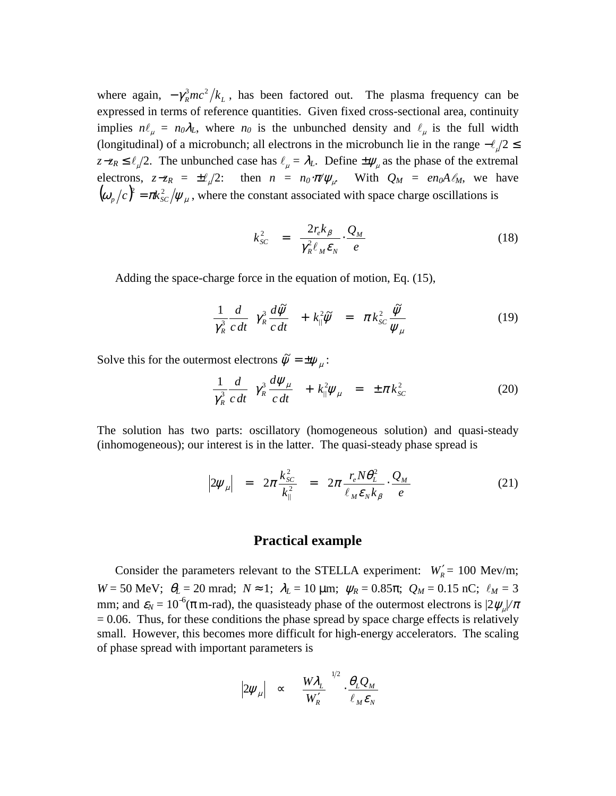where again,  $-\gamma_R^3 mc^2/k_L$ , has been factored out. The plasma frequency can be expressed in terms of reference quantities. Given fixed cross-sectional area, continuity implies  $n\ell_{\mu} = n_0 \lambda_L$ , where  $n_0$  is the unbunched density and  $\ell_{\mu}$  is the full width (longitudinal) of a microbunch; all electrons in the microbunch lie in the range  $-\ell/2 \leq$  $z-z_R \leq \ell/2$ . The unbunched case has  $\ell_{\mu} = \lambda_L$ . Define  $\pm \psi_{\mu}$  as the phase of the extremal electrons,  $z-z_R = \pm \ell_{\mu}/2$ : then  $n = n_0 \cdot \pi/\psi_{\mu}$ . With  $Q_M = en_0A\ell_M$ , we have  $(\omega_p/c)^2 = \pi k_{sc}^2/\psi_\mu$ , where the constant associated with space charge oscillations is

$$
k_{SC}^2 = \frac{2r_e k_{\beta}}{\gamma_R^2 \ell_M \varepsilon_N} \cdot \frac{Q_M}{e}
$$
 (18)

Adding the space-charge force in the equation of motion, Eq. (15),

$$
\frac{1}{\gamma_R^3} \frac{d}{c} \frac{d\tilde{\psi}}{dt} \left( \gamma_R^3 \frac{d\tilde{\psi}}{c} \right) + k_{\parallel}^2 \tilde{\psi} = \pi k_{SC}^2 \frac{\tilde{\psi}}{\psi_{\mu}}
$$
(19)

Solve this for the outermost electrons  $\tilde{\psi} = \pm \psi_{\mu}$ :

$$
\frac{1}{\gamma_R^3} \frac{d}{c \, dt} \left( \gamma_R^3 \frac{d \psi_\mu}{c \, dt} \right) + k_{\parallel}^2 \psi_\mu = \pm \pi k_{\rm SC}^2 \tag{20}
$$

The solution has two parts: oscillatory (homogeneous solution) and quasi-steady (inhomogeneous); our interest is in the latter. The quasi-steady phase spread is

$$
\left|2\psi_{\mu}\right| = 2\pi \frac{k_{sc}^2}{k_{\parallel}^2} = 2\pi \frac{r_e N \theta_L^2}{\ell_M \varepsilon_N k_{\beta}} \cdot \frac{Q_M}{e} \tag{21}
$$

## **Practical example**

Consider the parameters relevant to the STELLA experiment:  $W'_R = 100 \text{ MeV/m}$ ; *W* = 50 MeV;  $θ$ <sup>*L*</sup> = 20 mrad;  $N ≈ 1$ ;  $λ$ <sup>*L*</sup> = 10 μm;  $ψ$ <sup>*R*</sup> = 0.85π;  $Q$ <sup>*M*</sup> = 0.15 nC;  $ℓ$ <sup>*M*</sup> = 3 mm; and  $\varepsilon_N = 10^{-6}(\pi \text{ m-rad})$ , the quasisteady phase of the outermost electrons is  $|2 \psi_{\mu}|/\pi$  $= 0.06$ . Thus, for these conditions the phase spread by space charge effects is relatively small. However, this becomes more difficult for high-energy accelerators. The scaling of phase spread with important parameters is

$$
|2\psi_{\mu}| \propto \left(\frac{W\lambda_L}{W'_R}\right)^{1/2} \cdot \frac{\theta_L Q_M}{\ell_M \varepsilon_N}
$$